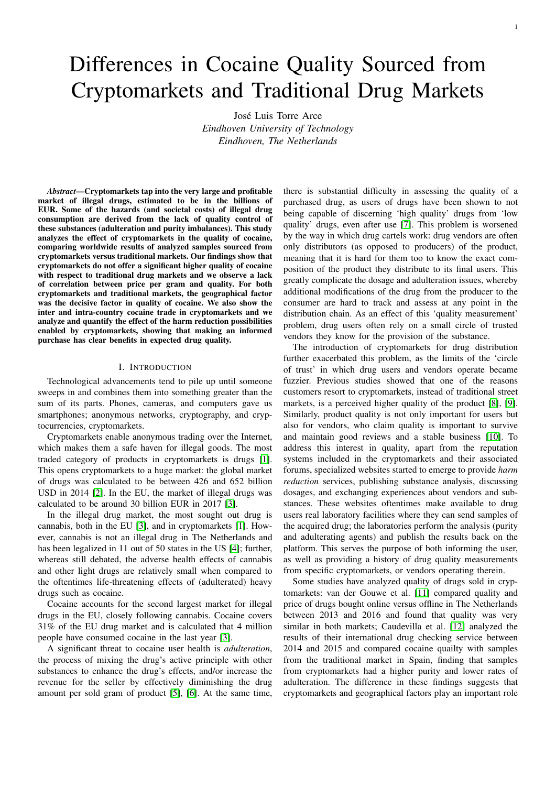# Differences in Cocaine Quality Sourced from Cryptomarkets and Traditional Drug Markets

José Luis Torre Arce *Eindhoven University of Technology Eindhoven, The Netherlands*

*Abstract*—Cryptomarkets tap into the very large and profitable market of illegal drugs, estimated to be in the billions of EUR. Some of the hazards (and societal costs) of illegal drug consumption are derived from the lack of quality control of these substances (adulteration and purity imbalances). This study analyzes the effect of cryptomarkets in the quality of cocaine, comparing worldwide results of analyzed samples sourced from cryptomarkets versus traditional markets. Our findings show that cryptomarkets do not offer a significant higher quality of cocaine with respect to traditional drug markets and we observe a lack of correlation between price per gram and quality. For both cryptomarkets and traditional markets, the geographical factor was the decisive factor in quality of cocaine. We also show the inter and intra-country cocaine trade in cryptomarkets and we analyze and quantify the effect of the harm reduction possibilities enabled by cryptomarkets, showing that making an informed purchase has clear benefits in expected drug quality.

# I. INTRODUCTION

Technological advancements tend to pile up until someone sweeps in and combines them into something greater than the sum of its parts. Phones, cameras, and computers gave us smartphones; anonymous networks, cryptography, and cryptocurrencies, cryptomarkets.

Cryptomarkets enable anonymous trading over the Internet, which makes them a safe haven for illegal goods. The most traded category of products in cryptomarkets is drugs [\[1\]](#page-9-0). This opens cryptomarkets to a huge market: the global market of drugs was calculated to be between 426 and 652 billion USD in 2014 [\[2\]](#page-9-1). In the EU, the market of illegal drugs was calculated to be around 30 billion EUR in 2017 [\[3\]](#page-9-2).

In the illegal drug market, the most sought out drug is cannabis, both in the EU [\[3\]](#page-9-2), and in cryptomarkets [\[1\]](#page-9-0). However, cannabis is not an illegal drug in The Netherlands and has been legalized in 11 out of 50 states in the US [\[4\]](#page-9-3); further, whereas still debated, the adverse health effects of cannabis and other light drugs are relatively small when compared to the oftentimes life-threatening effects of (adulterated) heavy drugs such as cocaine.

Cocaine accounts for the second largest market for illegal drugs in the EU, closely following cannabis. Cocaine covers 31% of the EU drug market and is calculated that 4 million people have consumed cocaine in the last year [\[3\]](#page-9-2).

A significant threat to cocaine user health is *adulteration*, the process of mixing the drug's active principle with other substances to enhance the drug's effects, and/or increase the revenue for the seller by effectively diminishing the drug amount per sold gram of product [\[5\]](#page-9-4), [\[6\]](#page-9-5). At the same time,

there is substantial difficulty in assessing the quality of a purchased drug, as users of drugs have been shown to not being capable of discerning 'high quality' drugs from 'low quality' drugs, even after use [\[7\]](#page-9-6). This problem is worsened by the way in which drug cartels work: drug vendors are often only distributors (as opposed to producers) of the product, meaning that it is hard for them too to know the exact composition of the product they distribute to its final users. This greatly complicate the dosage and adulteration issues, whereby additional modifications of the drug from the producer to the consumer are hard to track and assess at any point in the distribution chain. As an effect of this 'quality measurement' problem, drug users often rely on a small circle of trusted vendors they know for the provision of the substance.

The introduction of cryptomarkets for drug distribution further exacerbated this problem, as the limits of the 'circle of trust' in which drug users and vendors operate became fuzzier. Previous studies showed that one of the reasons customers resort to cryptomarkets, instead of traditional street markets, is a perceived higher quality of the product [\[8\]](#page-9-7), [\[9\]](#page-9-8). Similarly, product quality is not only important for users but also for vendors, who claim quality is important to survive and maintain good reviews and a stable business [\[10\]](#page-9-9). To address this interest in quality, apart from the reputation systems included in the cryptomarkets and their associated forums, specialized websites started to emerge to provide *harm reduction* services, publishing substance analysis, discussing dosages, and exchanging experiences about vendors and substances. These websites oftentimes make available to drug users real laboratory facilities where they can send samples of the acquired drug; the laboratories perform the analysis (purity and adulterating agents) and publish the results back on the platform. This serves the purpose of both informing the user, as well as providing a history of drug quality measurements from specific cryptomarkets, or vendors operating therein.

Some studies have analyzed quality of drugs sold in cryptomarkets: van der Gouwe et al. [\[11\]](#page-9-10) compared quality and price of drugs bought online versus offline in The Netherlands between 2013 and 2016 and found that quality was very similar in both markets; Caudevilla et al. [\[12\]](#page-9-11) analyzed the results of their international drug checking service between 2014 and 2015 and compared cocaine quailty with samples from the traditional market in Spain, finding that samples from cryptomarkets had a higher purity and lower rates of adulteration. The difference in these findings suggests that cryptomarkets and geographical factors play an important role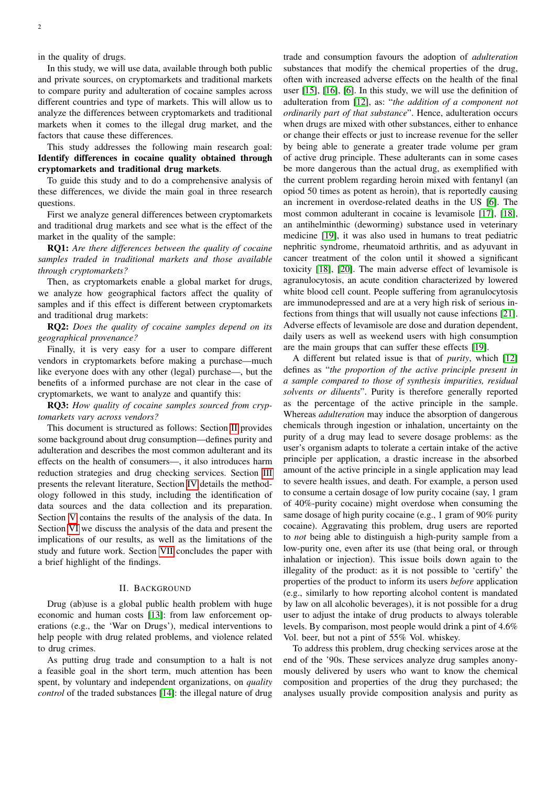in the quality of drugs.

In this study, we will use data, available through both public and private sources, on cryptomarkets and traditional markets to compare purity and adulteration of cocaine samples across different countries and type of markets. This will allow us to analyze the differences between cryptomarkets and traditional markets when it comes to the illegal drug market, and the factors that cause these differences.

This study addresses the following main research goal: Identify differences in cocaine quality obtained through cryptomarkets and traditional drug markets.

To guide this study and to do a comprehensive analysis of these differences, we divide the main goal in three research questions.

First we analyze general differences between cryptomarkets and traditional drug markets and see what is the effect of the market in the quality of the sample:

RQ1: *Are there differences between the quality of cocaine samples traded in traditional markets and those available through cryptomarkets?*

Then, as cryptomarkets enable a global market for drugs, we analyze how geographical factors affect the quality of samples and if this effect is different between cryptomarkets and traditional drug markets:

RQ2: *Does the quality of cocaine samples depend on its geographical provenance?*

Finally, it is very easy for a user to compare different vendors in cryptomarkets before making a purchase—much like everyone does with any other (legal) purchase—, but the benefits of a informed purchase are not clear in the case of cryptomarkets, we want to analyze and quantify this:

RQ3: *How quality of cocaine samples sourced from cryptomarkets vary across vendors?*

This document is structured as follows: Section [II](#page-1-0) provides some background about drug consumption—defines purity and adulteration and describes the most common adulterant and its effects on the health of consumers—, it also introduces harm reduction strategies and drug checking services. Section [III](#page-2-0) presents the relevant literature, Section [IV](#page-2-1) details the methodology followed in this study, including the identification of data sources and the data collection and its preparation. Section [V](#page-3-0) contains the results of the analysis of the data. In Section [VI](#page-6-0) we discuss the analysis of the data and present the implications of our results, as well as the limitations of the study and future work. Section [VII](#page-9-12) concludes the paper with a brief highlight of the findings.

# II. BACKGROUND

<span id="page-1-0"></span>Drug (ab)use is a global public health problem with huge economic and human costs [\[13\]](#page-9-13): from law enforcement operations (e.g., the 'War on Drugs'), medical interventions to help people with drug related problems, and violence related to drug crimes.

As putting drug trade and consumption to a halt is not a feasible goal in the short term, much attention has been spent, by voluntary and independent organizations, on *quality control* of the traded substances [\[14\]](#page-9-14): the illegal nature of drug

trade and consumption favours the adoption of *adulteration* substances that modify the chemical properties of the drug, often with increased adverse effects on the health of the final user [\[15\]](#page-9-15), [\[16\]](#page-9-16), [\[6\]](#page-9-5). In this study, we will use the definition of adulteration from [\[12\]](#page-9-11), as: "*the addition of a component not ordinarily part of that substance*". Hence, adulteration occurs when drugs are mixed with other substances, either to enhance or change their effects or just to increase revenue for the seller by being able to generate a greater trade volume per gram of active drug principle. These adulterants can in some cases be more dangerous than the actual drug, as exemplified with the current problem regarding heroin mixed with fentanyl (an opiod 50 times as potent as heroin), that is reportedly causing an increment in overdose-related deaths in the US [\[6\]](#page-9-5). The most common adulterant in cocaine is levamisole [\[17\]](#page-9-17), [\[18\]](#page-9-18), an antihelminthic (deworming) substance used in veterinary medicine [\[19\]](#page-9-19), it was also used in humans to treat pediatric nephritic syndrome, rheumatoid arthritis, and as adyuvant in cancer treatment of the colon until it showed a significant toxicity [\[18\]](#page-9-18), [\[20\]](#page-9-20). The main adverse effect of levamisole is agranulocytosis, an acute condition characterized by lowered white blood cell count. People suffering from agranulocytosis are immunodepressed and are at a very high risk of serious infections from things that will usually not cause infections [\[21\]](#page-9-21). Adverse effects of levamisole are dose and duration dependent, daily users as well as weekend users with high consumption are the main groups that can suffer these effects [\[19\]](#page-9-19).

A different but related issue is that of *purity*, which [\[12\]](#page-9-11) defines as "*the proportion of the active principle present in a sample compared to those of synthesis impurities, residual solvents or diluents*". Purity is therefore generally reported as the percentage of the active principle in the sample. Whereas *adulteration* may induce the absorption of dangerous chemicals through ingestion or inhalation, uncertainty on the purity of a drug may lead to severe dosage problems: as the user's organism adapts to tolerate a certain intake of the active principle per application, a drastic increase in the absorbed amount of the active principle in a single application may lead to severe health issues, and death. For example, a person used to consume a certain dosage of low purity cocaine (say, 1 gram of 40%-purity cocaine) might overdose when consuming the same dosage of high purity cocaine (e.g., 1 gram of 90% purity cocaine). Aggravating this problem, drug users are reported to *not* being able to distinguish a high-purity sample from a low-purity one, even after its use (that being oral, or through inhalation or injection). This issue boils down again to the illegality of the product: as it is not possible to 'certify' the properties of the product to inform its users *before* application (e.g., similarly to how reporting alcohol content is mandated by law on all alcoholic beverages), it is not possible for a drug user to adjust the intake of drug products to always tolerable levels. By comparison, most people would drink a pint of 4.6% Vol. beer, but not a pint of 55% Vol. whiskey.

To address this problem, drug checking services arose at the end of the '90s. These services analyze drug samples anonymously delivered by users who want to know the chemical composition and properties of the drug they purchased; the analyses usually provide composition analysis and purity as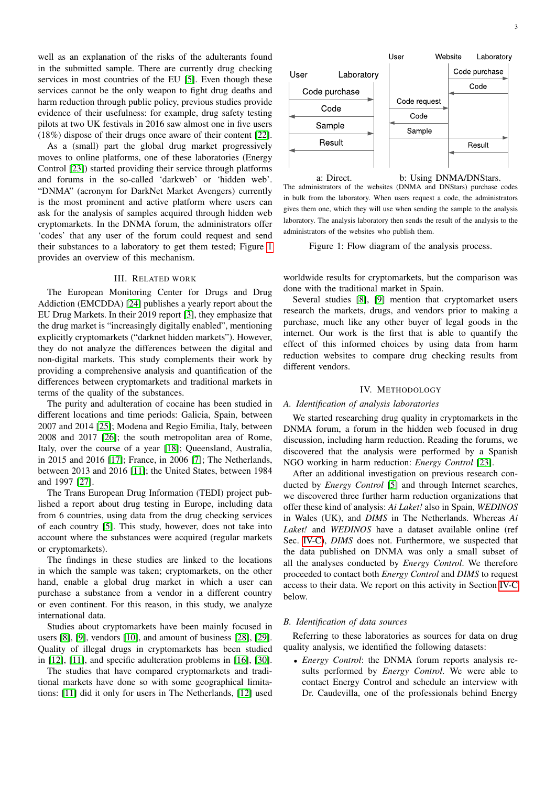well as an explanation of the risks of the adulterants found in the submitted sample. There are currently drug checking services in most countries of the EU [\[5\]](#page-9-4). Even though these services cannot be the only weapon to fight drug deaths and harm reduction through public policy, previous studies provide evidence of their usefulness: for example, drug safety testing pilots at two UK festivals in 2016 saw almost one in five users (18%) dispose of their drugs once aware of their content [\[22\]](#page-9-22).

As a (small) part the global drug market progressively moves to online platforms, one of these laboratories (Energy Control [\[23\]](#page-9-23)) started providing their service through platforms and forums in the so-called 'darkweb' or 'hidden web'. "DNMA" (acronym for DarkNet Market Avengers) currently is the most prominent and active platform where users can ask for the analysis of samples acquired through hidden web cryptomarkets. In the DNMA forum, the administrators offer 'codes' that any user of the forum could request and send their substances to a laboratory to get them tested; Figure [1](#page-2-2) provides an overview of this mechanism.

#### III. RELATED WORK

<span id="page-2-0"></span>The European Monitoring Center for Drugs and Drug Addiction (EMCDDA) [\[24\]](#page-9-24) publishes a yearly report about the EU Drug Markets. In their 2019 report [\[3\]](#page-9-2), they emphasize that the drug market is "increasingly digitally enabled", mentioning explicitly cryptomarkets ("darknet hidden markets"). However, they do not analyze the differences between the digital and non-digital markets. This study complements their work by providing a comprehensive analysis and quantification of the differences between cryptomarkets and traditional markets in terms of the quality of the substances.

The purity and adulteration of cocaine has been studied in different locations and time periods: Galicia, Spain, between 2007 and 2014 [\[25\]](#page-9-25); Modena and Regio Emilia, Italy, between 2008 and 2017 [\[26\]](#page-9-26); the south metropolitan area of Rome, Italy, over the course of a year [\[18\]](#page-9-18); Queensland, Australia, in 2015 and 2016 [\[17\]](#page-9-17); France, in 2006 [\[7\]](#page-9-6); The Netherlands, between 2013 and 2016 [\[11\]](#page-9-10); the United States, between 1984 and 1997 [\[27\]](#page-10-0).

The Trans European Drug Information (TEDI) project published a report about drug testing in Europe, including data from 6 countries, using data from the drug checking services of each country [\[5\]](#page-9-4). This study, however, does not take into account where the substances were acquired (regular markets or cryptomarkets).

The findings in these studies are linked to the locations in which the sample was taken; cryptomarkets, on the other hand, enable a global drug market in which a user can purchase a substance from a vendor in a different country or even continent. For this reason, in this study, we analyze international data.

Studies about cryptomarkets have been mainly focused in users [\[8\]](#page-9-7), [\[9\]](#page-9-8), vendors [\[10\]](#page-9-9), and amount of business [\[28\]](#page-10-1), [\[29\]](#page-10-2). Quality of illegal drugs in cryptomarkets has been studied in [\[12\]](#page-9-11), [\[11\]](#page-9-10), and specific adulteration problems in [\[16\]](#page-9-16), [\[30\]](#page-10-3).

The studies that have compared cryptomarkets and traditional markets have done so with some geographical limitations: [\[11\]](#page-9-10) did it only for users in The Netherlands, [\[12\]](#page-9-11) used

<span id="page-2-2"></span>

The administrators of the websites (DNMA and DNStars) purchase codes in bulk from the laboratory. When users request a code, the administrators gives them one, which they will use when sending the sample to the analysis laboratory. The analysis laboratory then sends the result of the analysis to the administrators of the websites who publish them.

Figure 1: Flow diagram of the analysis process.

worldwide results for cryptomarkets, but the comparison was done with the traditional market in Spain.

Several studies [\[8\]](#page-9-7), [\[9\]](#page-9-8) mention that cryptomarket users research the markets, drugs, and vendors prior to making a purchase, much like any other buyer of legal goods in the internet. Our work is the first that is able to quantify the effect of this informed choices by using data from harm reduction websites to compare drug checking results from different vendors.

#### IV. METHODOLOGY

## <span id="page-2-1"></span>*A. Identification of analysis laboratories*

We started researching drug quality in cryptomarkets in the DNMA forum, a forum in the hidden web focused in drug discussion, including harm reduction. Reading the forums, we discovered that the analysis were performed by a Spanish NGO working in harm reduction: *Energy Control* [\[23\]](#page-9-23).

After an additional investigation on previous research conducted by *Energy Control* [\[5\]](#page-9-4) and through Internet searches, we discovered three further harm reduction organizations that offer these kind of analysis: *Ai Laket!* also in Spain, *WEDINOS* in Wales (UK), and *DIMS* in The Netherlands. Whereas *Ai Laket!* and *WEDINOS* have a dataset available online (ref Sec. [IV-C\)](#page-3-1), *DIMS* does not. Furthermore, we suspected that the data published on DNMA was only a small subset of all the analyses conducted by *Energy Control*. We therefore proceeded to contact both *Energy Control* and *DIMS* to request access to their data. We report on this activity in Section [IV-C](#page-3-1) below.

## *B. Identification of data sources*

Referring to these laboratories as sources for data on drug quality analysis, we identified the following datasets:

• *Energy Control*: the DNMA forum reports analysis results performed by *Energy Control*. We were able to contact Energy Control and schedule an interview with Dr. Caudevilla, one of the professionals behind Energy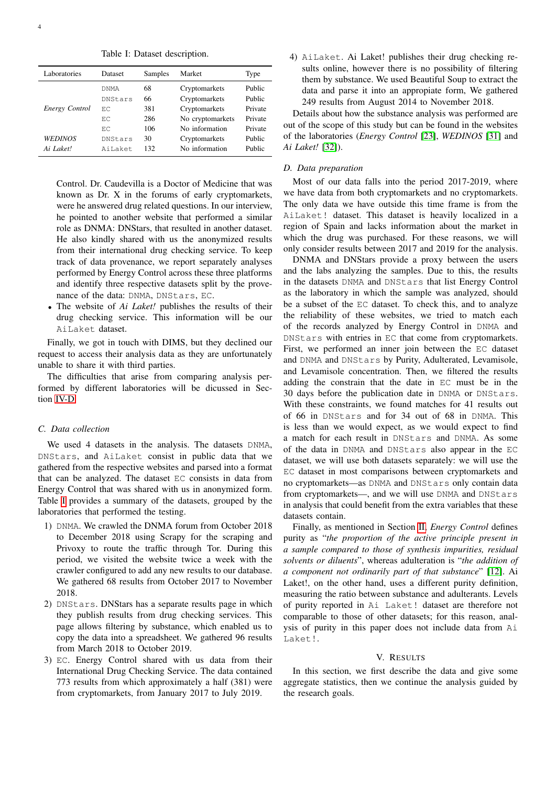Table I: Dataset description.

<span id="page-3-3"></span>

| Laboratories   | Dataset | Samples | Market           | Type    |
|----------------|---------|---------|------------------|---------|
| Energy Control | DNMA    | 68      | Cryptomarkets    | Public  |
|                | DNStars | 66      | Cryptomarkets    | Public  |
|                | ЕC      | 381     | Cryptomarkets    | Private |
|                | ЕC      | 286     | No cryptomarkets | Private |
|                | ЕC      | 106     | No information   | Private |
| WEDINOS        | DNStars | 30      | Cryptomarkets    | Public  |
| Ai Laket!      | AiLaket | 132.    | No information   | Public  |

Control. Dr. Caudevilla is a Doctor of Medicine that was known as Dr. X in the forums of early cryptomarkets, were he answered drug related questions. In our interview, he pointed to another website that performed a similar role as DNMA: DNStars, that resulted in another dataset. He also kindly shared with us the anonymized results from their international drug checking service. To keep track of data provenance, we report separately analyses performed by Energy Control across these three platforms and identify three respective datasets split by the provenance of the data: DNMA, DNStars, EC.

• The website of *Ai Laket!* publishes the results of their drug checking service. This information will be our AiLaket dataset.

Finally, we got in touch with DIMS, but they declined our request to access their analysis data as they are unfortunately unable to share it with third parties.

The difficulties that arise from comparing analysis performed by different laboratories will be dicussed in Section [IV-D.](#page-3-2)

# <span id="page-3-1"></span>*C. Data collection*

We used 4 datasets in the analysis. The datasets DNMA, DNStars, and AiLaket consist in public data that we gathered from the respective websites and parsed into a format that can be analyzed. The dataset EC consists in data from Energy Control that was shared with us in anonymized form. Table [I](#page-3-3) provides a summary of the datasets, grouped by the laboratories that performed the testing.

- 1) DNMA. We crawled the DNMA forum from October 2018 to December 2018 using Scrapy for the scraping and Privoxy to route the traffic through Tor. During this period, we visited the website twice a week with the crawler configured to add any new results to our database. We gathered 68 results from October 2017 to November 2018.
- 2) DNStars. DNStars has a separate results page in which they publish results from drug checking services. This page allows filtering by substance, which enabled us to copy the data into a spreadsheet. We gathered 96 results from March 2018 to October 2019.
- 3) EC. Energy Control shared with us data from their International Drug Checking Service. The data contained 773 results from which approximately a half (381) were from cryptomarkets, from January 2017 to July 2019.

4) AiLaket. Ai Laket! publishes their drug checking results online, however there is no possibility of filtering them by substance. We used Beautiful Soup to extract the data and parse it into an appropiate form, We gathered 249 results from August 2014 to November 2018.

Details about how the substance analysis was performed are out of the scope of this study but can be found in the websites of the laboratories (*Energy Control* [\[23\]](#page-9-23), *WEDINOS* [\[31\]](#page-10-4) and *Ai Laket!* [\[32\]](#page-10-5)).

# <span id="page-3-2"></span>*D. Data preparation*

Most of our data falls into the period 2017-2019, where we have data from both cryptomarkets and no cryptomarkets. The only data we have outside this time frame is from the AiLaket! dataset. This dataset is heavily localized in a region of Spain and lacks information about the market in which the drug was purchased. For these reasons, we will only consider results between 2017 and 2019 for the analysis.

DNMA and DNStars provide a proxy between the users and the labs analyzing the samples. Due to this, the results in the datasets DNMA and DNStars that list Energy Control as the laboratory in which the sample was analyzed, should be a subset of the EC dataset. To check this, and to analyze the reliability of these websites, we tried to match each of the records analyzed by Energy Control in DNMA and DNStars with entries in EC that come from cryptomarkets. First, we performed an inner join between the EC dataset and DNMA and DNStars by Purity, Adulterated, Levamisole, and Levamisole concentration. Then, we filtered the results adding the constrain that the date in EC must be in the 30 days before the publication date in DNMA or DNStars. With these constraints, we found matches for 41 results out of 66 in DNStars and for 34 out of 68 in DNMA. This is less than we would expect, as we would expect to find a match for each result in DNStars and DNMA. As some of the data in DNMA and DNStars also appear in the EC dataset, we will use both datasets separately: we will use the EC dataset in most comparisons between cryptomarkets and no cryptomarkets—as DNMA and DNStars only contain data from cryptomarkets—, and we will use DNMA and DNStars in analysis that could benefit from the extra variables that these datasets contain.

Finally, as mentioned in Section [II,](#page-1-0) *Energy Control* defines purity as "*the proportion of the active principle present in a sample compared to those of synthesis impurities, residual solvents or diluents*", whereas adulteration is "*the addition of a component not ordinarily part of that substance*" [\[12\]](#page-9-11). Ai Laket!, on the other hand, uses a different purity definition, measuring the ratio between substance and adulterants. Levels of purity reported in Ai Laket! dataset are therefore not comparable to those of other datasets; for this reason, analysis of purity in this paper does not include data from Ai Laket!.

## V. RESULTS

<span id="page-3-0"></span>In this section, we first describe the data and give some aggregate statistics, then we continue the analysis guided by the research goals.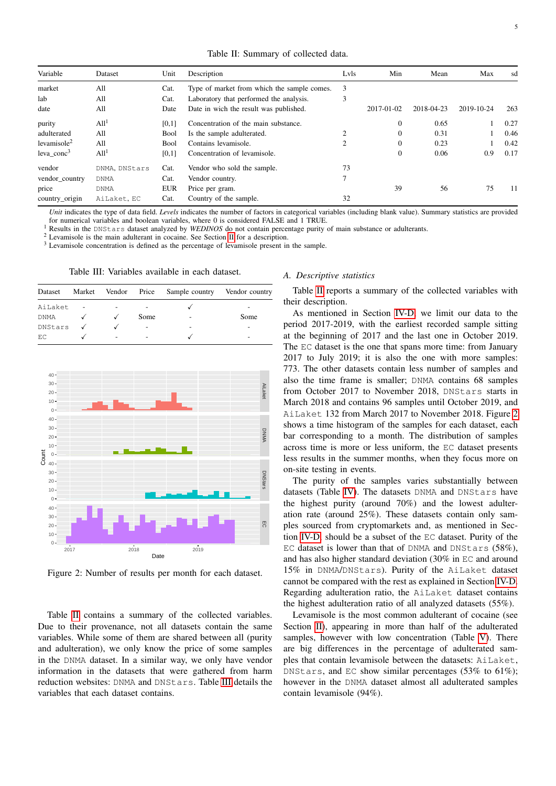Table II: Summary of collected data.

<span id="page-4-0"></span>

| Variable                | Dataset          | Unit        | Description                                 | Lvls | Min              | Mean       | Max        | sd   |
|-------------------------|------------------|-------------|---------------------------------------------|------|------------------|------------|------------|------|
| market                  | All              | Cat.        | Type of market from which the sample comes. | 3    |                  |            |            |      |
| lab                     | All              | Cat.        | Laboratory that performed the analysis.     | 3    |                  |            |            |      |
| date                    | All              | Date        | Date in wich the result was published.      |      | 2017-01-02       | 2018-04-23 | 2019-10-24 | 263  |
| purity                  | All <sup>1</sup> | [0,1]       | Concentration of the main substance.        |      | $\boldsymbol{0}$ | 0.65       |            | 0.27 |
| adulterated             | All              | <b>Bool</b> | Is the sample adulterated.                  |      | $\mathbf{0}$     | 0.31       |            | 0.46 |
| levamisole <sup>2</sup> | All              | Bool        | Contains levamisole.                        | 2    | $\mathbf{0}$     | 0.23       |            | 0.42 |
| leva $cone3$            | All <sup>1</sup> | [0,1]       | Concentration of levamisole.                |      | $\boldsymbol{0}$ | 0.06       | 0.9        | 0.17 |
| vendor                  | DNMA, DNStars    | Cat.        | Vendor who sold the sample.                 | 73   |                  |            |            |      |
| vendor_country          | <b>DNMA</b>      | Cat.        | Vendor country.                             | 7    |                  |            |            |      |
| price                   | DNMA             | <b>EUR</b>  | Price per gram.                             |      | 39               | 56         | 75         | 11   |
| country_origin          | AiLaket, EC      | Cat.        | Country of the sample.                      | 32   |                  |            |            |      |

*Unit* indicates the type of data field. *Levels* indicates the number of factors in categorical variables (including blank value). Summary statistics are provided for numerical variables and boolean variables, where 0 is considered FALSE and 1 TRUE.

<sup>1</sup> Results in the DNStars dataset analyzed by *WEDINOS* do not contain percentage purity of main substance or adulterants.

<sup>2</sup> Levamisole is the main adulterant in cocaine. See Section [II](#page-1-0) for a description.

<span id="page-4-1"></span><sup>3</sup> Levamisole concentration is defined as the percentage of levamisole present in the sample.

Table III: Variables available in each dataset.

| Dataset |   |      | Market Vendor Price Sample country Vendor country |      |
|---------|---|------|---------------------------------------------------|------|
| AiLaket |   |      |                                                   | -    |
| DNMA    |   | Some | $\overline{\phantom{a}}$                          | Some |
| DNStars |   |      | -                                                 | -    |
| E.C.    | ۰ |      |                                                   | -    |

<span id="page-4-2"></span>

Figure 2: Number of results per month for each dataset.

Table [II](#page-4-0) contains a summary of the collected variables. Due to their provenance, not all datasets contain the same variables. While some of them are shared between all (purity and adulteration), we only know the price of some samples in the DNMA dataset. In a similar way, we only have vendor information in the datasets that were gathered from harm reduction websites: DNMA and DNStars. Table [III](#page-4-1) details the variables that each dataset contains.

#### <span id="page-4-3"></span>*A. Descriptive statistics*

Table [II](#page-4-0) reports a summary of the collected variables with their description.

As mentioned in Section [IV-D,](#page-3-2) we limit our data to the period 2017-2019, with the earliest recorded sample sitting at the beginning of 2017 and the last one in October 2019. The EC dataset is the one that spans more time: from January 2017 to July 2019; it is also the one with more samples: 773. The other datasets contain less number of samples and also the time frame is smaller; DNMA contains 68 samples from October 2017 to November 2018, DNStars starts in March 2018 and contains 96 samples until October 2019, and AiLaket 132 from March 2017 to November 2018. Figure [2](#page-4-2) shows a time histogram of the samples for each dataset, each bar corresponding to a month. The distribution of samples across time is more or less uniform, the EC dataset presents less results in the summer months, when they focus more on on-site testing in events.

The purity of the samples varies substantially between datasets (Table [IV\)](#page-5-0). The datasets DNMA and DNStars have the highest purity (around 70%) and the lowest adulteration rate (around 25%). These datasets contain only samples sourced from cryptomarkets and, as mentioned in Section [IV-D,](#page-3-2) should be a subset of the EC dataset. Purity of the EC dataset is lower than that of DNMA and DNStars (58%), and has also higher standard deviation (30% in EC and around 15% in DNMA/DNStars). Purity of the AiLaket dataset cannot be compared with the rest as explained in Section [IV-D.](#page-3-2) Regarding adulteration ratio, the AiLaket dataset contains the highest adulteration ratio of all analyzed datasets (55%).

Levamisole is the most common adulterant of cocaine (see Section [II\)](#page-1-0), appearing in more than half of the adulterated samples, however with low concentration (Table [V\)](#page-5-1). There are big differences in the percentage of adulterated samples that contain levamisole between the datasets: AiLaket, DNStars, and EC show similar percentages (53% to 61%); however in the DNMA dataset almost all adulterated samples contain levamisole (94%).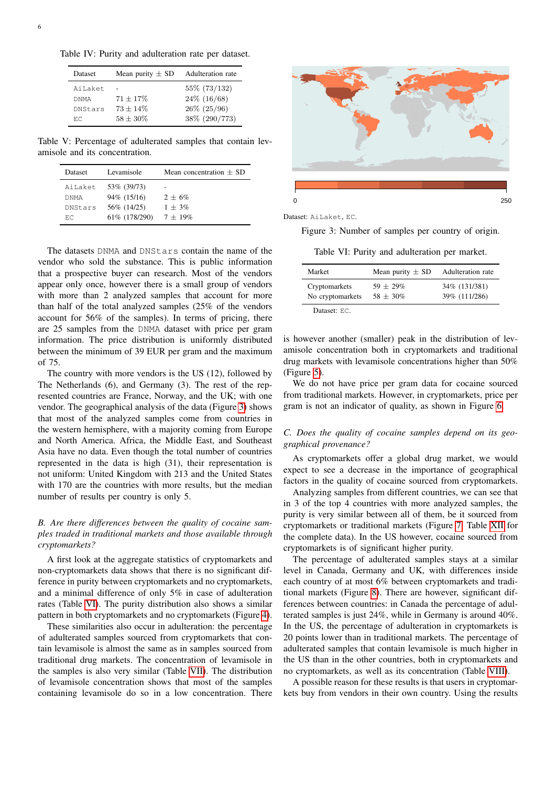<span id="page-5-0"></span>Table IV: Purity and adulteration rate per dataset.

| Dataset     | Mean purity $\pm$ SD | Adulteration rate |
|-------------|----------------------|-------------------|
| AiLaket     |                      | 55\% (73/132)     |
| <b>DNMA</b> | $71 + 17\%$          | $24\%$ (16/68)    |
| DNStars     | $73 + 14\%$          | $26\%$ (25/96)    |
| ЕC          | $58 + 30\%$          | 38% (290/773)     |

<span id="page-5-1"></span>Table V: Percentage of adulterated samples that contain levamisole and its concentration.

| Dataset | Levamisole     | Mean concentration $\pm$ SD |
|---------|----------------|-----------------------------|
| AiLaket | 53\% (39/73)   | -                           |
| DNMA    | 94\% (15/16)   | $2 + 6\%$                   |
| DNStars | 56% (14/25)    | $1 + 3\%$                   |
| ЕC      | 61\% (178/290) | $7 + 19\%$                  |

The datasets DNMA and DNStars contain the name of the vendor who sold the substance. This is public information that a prospective buyer can research. Most of the vendors appear only once, however there is a small group of vendors with more than 2 analyzed samples that account for more than half of the total analyzed samples (25% of the vendors account for 56% of the samples). In terms of pricing, there are 25 samples from the DNMA dataset with price per gram information. The price distribution is uniformly distributed between the minimum of 39 EUR per gram and the maximum of 75.

The country with more vendors is the US (12), followed by The Netherlands (6), and Germany (3). The rest of the represented countries are France, Norway, and the UK; with one vendor. The geographical analysis of the data (Figure [3\)](#page-5-2) shows that most of the analyzed samples come from countries in the western hemisphere, with a majority coming from Europe and North America. Africa, the Middle East, and Southeast Asia have no data. Even though the total number of countries represented in the data is high (31), their representation is not uniform: United Kingdom with 213 and the United States with 170 are the countries with more results, but the median number of results per country is only 5.

# *B. Are there differences between the quality of cocaine samples traded in traditional markets and those available through cryptomarkets?*

A first look at the aggregate statistics of cryptomarkets and non-cryptomarkets data shows that there is no significant difference in purity between cryptomarkets and no cryptomarkets, and a minimal difference of only 5% in case of adulteration rates (Table [VI\)](#page-5-3). The purity distribution also shows a similar pattern in both cryptomarkets and no cryptomarkets (Figure [4\)](#page-6-1).

These similarities also occur in adulteration: the percentage of adulterated samples sourced from cryptomarkets that contain levamisole is almost the same as in samples sourced from traditional drug markets. The concentration of levamisole in the samples is also very similar (Table [VII\)](#page-6-2). The distribution of levamisole concentration shows that most of the samples containing levamisole do so in a low concentration. There

<span id="page-5-2"></span>

Dataset: AiLaket, EC.

<span id="page-5-3"></span>Figure 3: Number of samples per country of origin.

Table VI: Purity and adulteration per market.

| Market                            | Mean purity $\pm$ SD       | Adulteration rate              |
|-----------------------------------|----------------------------|--------------------------------|
| Cryptomarkets<br>No cryptomarkets | $59 + 29\%$<br>$58 + 30\%$ | 34% (131/381)<br>39% (111/286) |
| $\Gamma$ Dotacat: $\Gamma \cap$   |                            |                                |

Dataset: EC.

is however another (smaller) peak in the distribution of levamisole concentration both in cryptomarkets and traditional drug markets with levamisole concentrations higher than 50% (Figure [5\)](#page-6-3).

We do not have price per gram data for cocaine sourced from traditional markets. However, in cryptomarkets, price per gram is not an indicator of quality, as shown in Figure [6.](#page-6-4)

# *C. Does the quality of cocaine samples depend on its geographical provenance?*

As cryptomarkets offer a global drug market, we would expect to see a decrease in the importance of geographical factors in the quality of cocaine sourced from cryptomarkets.

Analyzing samples from different countries, we can see that in 3 of the top 4 countries with more analyzed samples, the purity is very similar between all of them, be it sourced from cryptomarkets or traditional markets (Figure [7,](#page-7-0) Table [XII](#page-11-0) for the complete data). In the US however, cocaine sourced from cryptomarkets is of significant higher purity.

The percentage of adulterated samples stays at a similar level in Canada, Germany and UK, with differences inside each country of at most 6% between cryptomarkets and traditional markets (Figure [8\)](#page-7-1). There are however, significant differences between countries: in Canada the percentage of adulterated samples is just 24%, while in Germany is around 40%. In the US, the percentage of adulteration in cryptomarkets is 20 points lower than in traditional markets. The percentage of adulterated samples that contain levamisole is much higher in the US than in the other countries, both in cryptomarkets and no cryptomarkets, as well as its concentration (Table [VIII\)](#page-7-2).

A possible reason for these results is that users in cryptomarkets buy from vendors in their own country. Using the results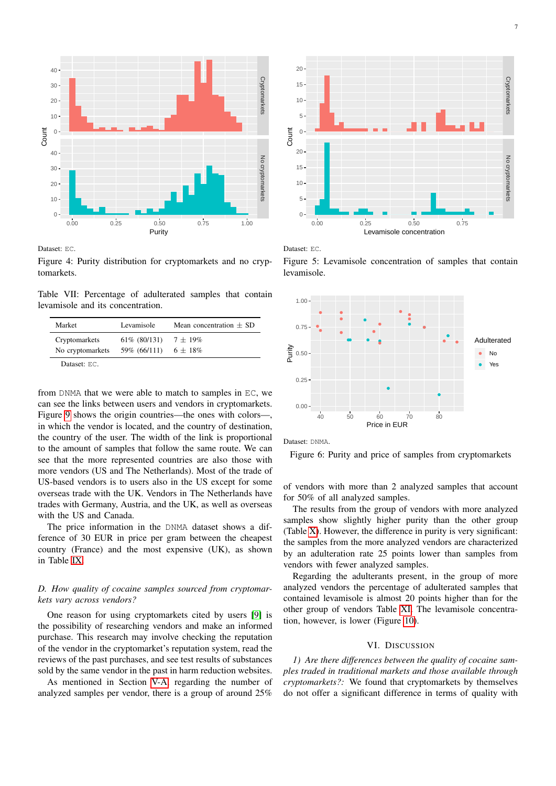<span id="page-6-1"></span>

Dataset: EC.

Figure 4: Purity distribution for cryptomarkets and no cryptomarkets.

<span id="page-6-2"></span>Table VII: Percentage of adulterated samples that contain levamisole and its concentration.

| Market           | Levamisole      | Mean concentration $\pm$ SD |
|------------------|-----------------|-----------------------------|
| Cryptomarkets    | $61\%$ (80/131) | $7 \pm 19\%$                |
| No cryptomarkets | 59% (66/111)    | $6 \pm 18\%$                |

Dataset: EC.

from DNMA that we were able to match to samples in EC, we can see the links between users and vendors in cryptomarkets. Figure [9](#page-7-3) shows the origin countries—the ones with colors—, in which the vendor is located, and the country of destination, the country of the user. The width of the link is proportional to the amount of samples that follow the same route. We can see that the more represented countries are also those with more vendors (US and The Netherlands). Most of the trade of US-based vendors is to users also in the US except for some overseas trade with the UK. Vendors in The Netherlands have trades with Germany, Austria, and the UK, as well as overseas with the US and Canada.

The price information in the DNMA dataset shows a difference of 30 EUR in price per gram between the cheapest country (France) and the most expensive (UK), as shown in Table [IX.](#page-8-0)

# *D. How quality of cocaine samples sourced from cryptomarkets vary across vendors?*

One reason for using cryptomarkets cited by users [\[9\]](#page-9-8) is the possibility of researching vendors and make an informed purchase. This research may involve checking the reputation of the vendor in the cryptomarket's reputation system, read the reviews of the past purchases, and see test results of substances sold by the same vendor in the past in harm reduction websites.

As mentioned in Section [V-A,](#page-4-3) regarding the number of analyzed samples per vendor, there is a group of around 25%

<span id="page-6-3"></span>

Dataset: EC.

Figure 5: Levamisole concentration of samples that contain levamisole.

<span id="page-6-4"></span>

Dataset: DNMA.

Figure 6: Purity and price of samples from cryptomarkets

of vendors with more than 2 analyzed samples that account for 50% of all analyzed samples.

The results from the group of vendors with more analyzed samples show slightly higher purity than the other group (Table [X\)](#page-8-1). However, the difference in purity is very significant: the samples from the more analyzed vendors are characterized by an adulteration rate 25 points lower than samples from vendors with fewer analyzed samples.

Regarding the adulterants present, in the group of more analyzed vendors the percentage of adulterated samples that contained levamisole is almost 20 points higher than for the other group of vendors Table [XI.](#page-8-2) The levamisole concentration, however, is lower (Figure [10\)](#page-8-3).

## VI. DISCUSSION

<span id="page-6-0"></span>*1) Are there differences between the quality of cocaine samples traded in traditional markets and those available through cryptomarkets?:* We found that cryptomarkets by themselves do not offer a significant difference in terms of quality with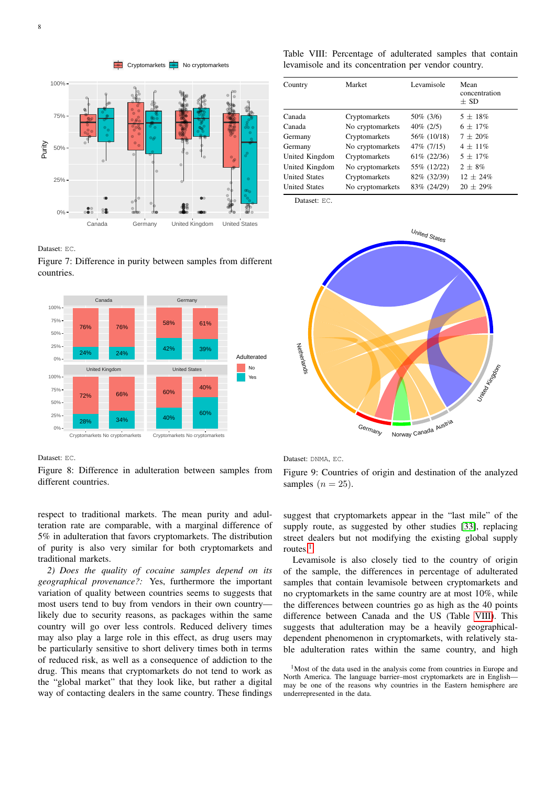$\overline{\phantom{a}}$  Cryptomarkets  $\overline{\phantom{a}}$  No cryptomarkets

<span id="page-7-0"></span>

Dataset: EC.

Figure 7: Difference in purity between samples from different countries.

<span id="page-7-1"></span>

Dataset: EC.

Figure 8: Difference in adulteration between samples from different countries.

respect to traditional markets. The mean purity and adulteration rate are comparable, with a marginal difference of 5% in adulteration that favors cryptomarkets. The distribution of purity is also very similar for both cryptomarkets and traditional markets.

*2) Does the quality of cocaine samples depend on its geographical provenance?:* Yes, furthermore the important variation of quality between countries seems to suggests that most users tend to buy from vendors in their own country likely due to security reasons, as packages within the same country will go over less controls. Reduced delivery times may also play a large role in this effect, as drug users may be particularly sensitive to short delivery times both in terms of reduced risk, as well as a consequence of addiction to the drug. This means that cryptomarkets do not tend to work as the "global market" that they look like, but rather a digital way of contacting dealers in the same country. These findings

<span id="page-7-2"></span>Table VIII: Percentage of adulterated samples that contain levamisole and its concentration per vendor country.

| Country              | Market           | Levamisole   | Mean<br>concentration<br>$+$ SD |
|----------------------|------------------|--------------|---------------------------------|
| Canada               | Cryptomarkets    | 50\% (3/6)   | $5 + 18\%$                      |
| Canada               | No cryptomarkets | $40\%$ (2/5) | $6 + 17\%$                      |
| Germany              | Cryptomarkets    | 56% (10/18)  | $7 + 20\%$                      |
| Germany              | No cryptomarkets | 47\% (7/15)  | $4 + 11\%$                      |
| United Kingdom       | Cryptomarkets    | 61% (22/36)  | $5 + 17\%$                      |
| United Kingdom       | No cryptomarkets | 55% (12/22)  | $2 + 8\%$                       |
| <b>United States</b> | Cryptomarkets    | 82\% (32/39) | $12 + 24\%$                     |
| <b>United States</b> | No cryptomarkets | 83% (24/29)  | $20 + 29\%$                     |

Dataset: EC.

<span id="page-7-3"></span>

Dataset: DNMA, EC.

Figure 9: Countries of origin and destination of the analyzed samples  $(n = 25)$ .

suggest that cryptomarkets appear in the "last mile" of the supply route, as suggested by other studies [\[33\]](#page-10-6), replacing street dealers but not modifying the existing global supply routes.<sup>[1](#page-7-4)</sup>

Levamisole is also closely tied to the country of origin of the sample, the differences in percentage of adulterated samples that contain levamisole between cryptomarkets and no cryptomarkets in the same country are at most 10%, while the differences between countries go as high as the 40 points difference between Canada and the US (Table [VIII\)](#page-7-2). This suggests that adulteration may be a heavily geographicaldependent phenomenon in cryptomarkets, with relatively stable adulteration rates within the same country, and high

<span id="page-7-4"></span> $1$ Most of the data used in the analysis come from countries in Europe and North America. The language barrier–most cryptomarkets are in English may be one of the reasons why countries in the Eastern hemisphere are underrepresented in the data.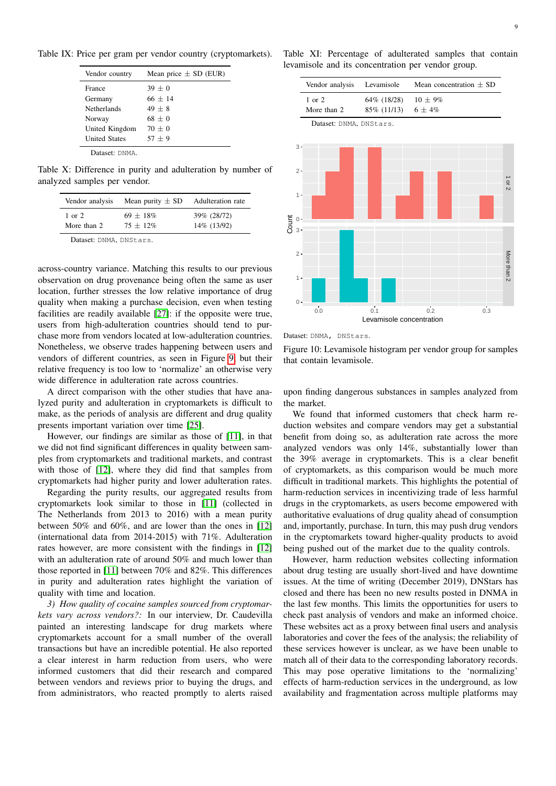<span id="page-8-0"></span>Table IX: Price per gram per vendor country (cryptomarkets).

| Vendor country       | Mean price $\pm$ SD (EUR) |
|----------------------|---------------------------|
| France               | $39 + 0$                  |
| Germany              | $66 + 14$                 |
| <b>Netherlands</b>   | $49 + 8$                  |
| Norway               | $68 + 0$                  |
| United Kingdom       | $70 + 0$                  |
| <b>United States</b> | $57 + 9$                  |

Dataset: DNMA.

<span id="page-8-1"></span>Table X: Difference in purity and adulteration by number of analyzed samples per vendor.

| Vendor analysis                  | Mean purity $\pm$ SD       | Adulteration rate          |
|----------------------------------|----------------------------|----------------------------|
| $1 \text{ or } 2$<br>More than 2 | $69 + 18\%$<br>$75 + 12\%$ | 39% (28/72)<br>14% (13/92) |
|                                  |                            |                            |

Dataset: DNMA, DNStars.

across-country variance. Matching this results to our previous observation on drug provenance being often the same as user location, further stresses the low relative importance of drug quality when making a purchase decision, even when testing facilities are readily available [\[27\]](#page-10-0): if the opposite were true, users from high-adulteration countries should tend to purchase more from vendors located at low-adulteration countries. Nonetheless, we observe trades happening between users and vendors of different countries, as seen in Figure [9,](#page-7-3) but their relative frequency is too low to 'normalize' an otherwise very wide difference in adulteration rate across countries.

A direct comparison with the other studies that have analyzed purity and adulteration in cryptomarkets is difficult to make, as the periods of analysis are different and drug quality presents important variation over time [\[25\]](#page-9-25).

However, our findings are similar as those of [\[11\]](#page-9-10), in that we did not find significant differences in quality between samples from cryptomarkets and traditional markets, and contrast with those of [\[12\]](#page-9-11), where they did find that samples from cryptomarkets had higher purity and lower adulteration rates.

Regarding the purity results, our aggregated results from cryptomarkets look similar to those in [\[11\]](#page-9-10) (collected in The Netherlands from 2013 to 2016) with a mean purity between 50% and 60%, and are lower than the ones in [\[12\]](#page-9-11) (international data from 2014-2015) with 71%. Adulteration rates however, are more consistent with the findings in [\[12\]](#page-9-11) with an adulteration rate of around 50% and much lower than those reported in [\[11\]](#page-9-10) between 70% and 82%. This differences in purity and adulteration rates highlight the variation of quality with time and location.

*3) How quality of cocaine samples sourced from cryptomarkets vary across vendors?:* In our interview, Dr. Caudevilla painted an interesting landscape for drug markets where cryptomarkets account for a small number of the overall transactions but have an incredible potential. He also reported a clear interest in harm reduction from users, who were informed customers that did their research and compared between vendors and reviews prior to buying the drugs, and from administrators, who reacted promptly to alerts raised

<span id="page-8-2"></span>

<span id="page-8-3"></span>

Dataset: DNMA, DNStars.

Figure 10: Levamisole histogram per vendor group for samples that contain levamisole.

upon finding dangerous substances in samples analyzed from the market.

We found that informed customers that check harm reduction websites and compare vendors may get a substantial benefit from doing so, as adulteration rate across the more analyzed vendors was only 14%, substantially lower than the 39% average in cryptomarkets. This is a clear benefit of cryptomarkets, as this comparison would be much more difficult in traditional markets. This highlights the potential of harm-reduction services in incentivizing trade of less harmful drugs in the cryptomarkets, as users become empowered with authoritative evaluations of drug quality ahead of consumption and, importantly, purchase. In turn, this may push drug vendors in the cryptomarkets toward higher-quality products to avoid being pushed out of the market due to the quality controls.

However, harm reduction websites collecting information about drug testing are usually short-lived and have downtime issues. At the time of writing (December 2019), DNStars has closed and there has been no new results posted in DNMA in the last few months. This limits the opportunities for users to check past analysis of vendors and make an informed choice. These websites act as a proxy between final users and analysis laboratories and cover the fees of the analysis; the reliability of these services however is unclear, as we have been unable to match all of their data to the corresponding laboratory records. This may pose operative limitations to the 'normalizing' effects of harm-reduction services in the underground, as low availability and fragmentation across multiple platforms may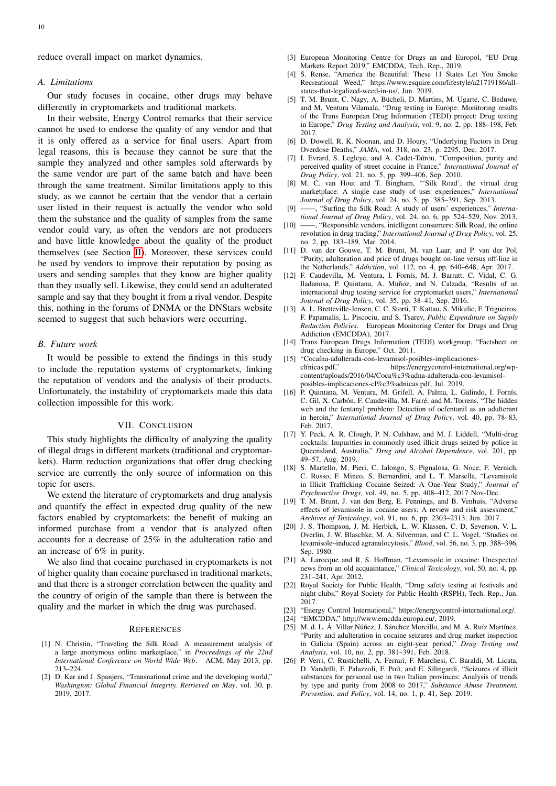#### *A. Limitations*

Our study focuses in cocaine, other drugs may behave differently in cryptomarkets and traditional markets.

In their website, Energy Control remarks that their service cannot be used to endorse the quality of any vendor and that it is only offered as a service for final users. Apart from legal reasons, this is because they cannot be sure that the sample they analyzed and other samples sold afterwards by the same vendor are part of the same batch and have been through the same treatment. Similar limitations apply to this study, as we cannot be certain that the vendor that a certain user listed in their request is actually the vendor who sold them the substance and the quality of samples from the same vendor could vary, as often the vendors are not producers and have little knowledge about the quality of the product themselves (see Section [II\)](#page-1-0). Moreover, these services could be used by vendors to improve their reputation by posing as users and sending samples that they know are higher quality than they usually sell. Likewise, they could send an adulterated sample and say that they bought it from a rival vendor. Despite this, nothing in the forums of DNMA or the DNStars website seemed to suggest that such behaviors were occurring.

# *B. Future work*

It would be possible to extend the findings in this study to include the reputation systems of cryptomarkets, linking the reputation of vendors and the analysis of their products. Unfortunately, the instability of cryptomarkets made this data collection impossible for this work.

# VII. CONCLUSION

<span id="page-9-12"></span>This study highlights the difficulty of analyzing the quality of illegal drugs in different markets (traditional and cryptomarkets). Harm reduction organizations that offer drug checking service are currently the only source of information on this topic for users.

We extend the literature of cryptomarkets and drug analysis and quantify the effect in expected drug quality of the new factors enabled by cryptomarkets: the benefit of making an informed purchase from a vendor that is analyzed often accounts for a decrease of 25% in the adulteration ratio and an increase of 6% in purity.

We also find that cocaine purchased in cryptomarkets is not of higher quality than cocaine purchased in traditional markets, and that there is a stronger correlation between the quality and the country of origin of the sample than there is between the quality and the market in which the drug was purchased.

#### **REFERENCES**

- <span id="page-9-0"></span>[1] N. Christin, "Traveling the Silk Road: A measurement analysis of a large anonymous online marketplace," in *Proceedings of the 22nd International Conference on World Wide Web*. ACM, May 2013, pp. 213–224.
- <span id="page-9-1"></span>[2] D. Kar and J. Spanjers, "Transnational crime and the developing world," *Washington: Global Financial Integrity. Retrieved on May*, vol. 30, p. 2019, 2017.
- <span id="page-9-2"></span>[3] European Monitoring Centre for Drugs an and Europol, "EU Drug Markets Report 2019," EMCDDA, Tech. Rep., 2019.
- <span id="page-9-3"></span>[4] S. Rense, "America the Beautiful: These 11 States Let You Smoke Recreational Weed," https://www.esquire.com/lifestyle/a21719186/allstates-that-legalized-weed-in-us/, Jun. 2019.
- <span id="page-9-4"></span>[5] T. M. Brunt, C. Nagy, A. Bücheli, D. Martins, M. Ugarte, C. Beduwe, and M. Ventura Vilamala, "Drug testing in Europe: Monitoring results of the Trans European Drug Information (TEDI) project: Drug testing in Europe," *Drug Testing and Analysis*, vol. 9, no. 2, pp. 188–198, Feb. 2017.
- <span id="page-9-5"></span>[6] D. Dowell, R. K. Noonan, and D. Houry, "Underlying Factors in Drug Overdose Deaths," *JAMA*, vol. 318, no. 23, p. 2295, Dec. 2017.
- <span id="page-9-6"></span>[7] I. Evrard, S. Legleye, and A. Cadet-Taïrou, "Composition, purity and perceived quality of street cocaine in France," *International Journal of Drug Policy*, vol. 21, no. 5, pp. 399–406, Sep. 2010.
- <span id="page-9-7"></span>[8] M. C. van Hout and T. Bingham, "'Silk Road', the virtual drug marketplace: A single case study of user experiences," *International Journal of Drug Policy*, vol. 24, no. 5, pp. 385–391, Sep. 2013.
- <span id="page-9-8"></span>[9] ——, "Surfing the Silk Road: A study of users' experiences," *International Journal of Drug Policy*, vol. 24, no. 6, pp. 524–529, Nov. 2013.
- <span id="page-9-9"></span>[10] ——, "Responsible vendors, intelligent consumers: Silk Road, the online revolution in drug trading," *International Journal of Drug Policy*, vol. 25, no. 2, pp. 183–189, Mar. 2014.
- <span id="page-9-10"></span>[11] D. van der Gouwe, T. M. Brunt, M. van Laar, and P. van der Pol, "Purity, adulteration and price of drugs bought on-line versus off-line in the Netherlands," *Addiction*, vol. 112, no. 4, pp. 640–648, Apr. 2017.
- <span id="page-9-11"></span>[12] F. Caudevilla, M. Ventura, I. Fornís, M. J. Barratt, C. Vidal, C. G. lladanosa, P. Quintana, A. Muñoz, and N. Calzada, "Results of an international drug testing service for cryptomarket users," *International Journal of Drug Policy*, vol. 35, pp. 38–41, Sep. 2016.
- <span id="page-9-13"></span>[13] A. L. Bretteville-Jensen, C. C. Storti, T. Kattau, S. Mikulic, F. Trigueiros, F. Papamalis, L. Piscociu, and S. Tsarev, *Public Expenditure on Supply Reduction Policies*. European Monitoring Center for Drugs and Drug Addiction (EMCDDA), 2017.
- <span id="page-9-14"></span>[14] Trans European Drugs Information (TEDI) workgroup, "Factsheet on drug checking in Europe," Oct. 2011.
- <span id="page-9-15"></span>[15] "Cocaína-adulterada-con-levamisol-posibles-implicacioneshttps://energycontrol-international.org/wpcontent/uploads/2016/04/Coca%c3%adna-adulterada-con-levamisolposibles-implicaciones-cl%c3%adnicas.pdf, Jul. 2019.
- <span id="page-9-16"></span>[16] P. Quintana, M. Ventura, M. Grifell, A. Palma, L. Galindo, I. Fornís, C. Gil, X. Carbón, F. Caudevilla, M. Farré, and M. Torrens, "The hidden web and the fentanyl problem: Detection of ocfentanil as an adulterant in heroin," *International Journal of Drug Policy*, vol. 40, pp. 78–83, Feb. 2017.
- <span id="page-9-17"></span>[17] Y. Peck, A. R. Clough, P. N. Culshaw, and M. J. Liddell, "Multi-drug cocktails: Impurities in commonly used illicit drugs seized by police in Queensland, Australia," *Drug and Alcohol Dependence*, vol. 201, pp. 49–57, Aug. 2019.
- <span id="page-9-18"></span>[18] S. Martello, M. Pieri, C. Ialongo, S. Pignalosa, G. Noce, F. Vernich, C. Russo, F. Mineo, S. Bernardini, and L. T. Marsella, "Levamisole in Illicit Trafficking Cocaine Seized: A One-Year Study," *Journal of Psychoactive Drugs*, vol. 49, no. 5, pp. 408–412, 2017 Nov-Dec.
- <span id="page-9-19"></span>[19] T. M. Brunt, J. van den Berg, E. Pennings, and B. Venhuis, "Adverse effects of levamisole in cocaine users: A review and risk assessment," *Archives of Toxicology*, vol. 91, no. 6, pp. 2303–2313, Jun. 2017.
- <span id="page-9-20"></span>[20] J. S. Thompson, J. M. Herbick, L. W. Klassen, C. D. Severson, V. L. Overlin, J. W. Blaschke, M. A. Silverman, and C. L. Vogel, "Studies on levamisole–induced agranulocytosis," *Blood*, vol. 56, no. 3, pp. 388–396, Sep. 1980.
- <span id="page-9-21"></span>[21] A. Larocque and R. S. Hoffman, "Levamisole in cocaine: Unexpected news from an old acquaintance," *Clinical Toxicology*, vol. 50, no. 4, pp. 231–241, Apr. 2012.
- <span id="page-9-22"></span>[22] Royal Society for Public Health, "Drug safety testing at festivals and night clubs," Royal Society for Public Health (RSPH), Tech. Rep., Jun. 2017.
- <span id="page-9-23"></span>[23] "Energy Control International," https://energycontrol-international.org/.
- <span id="page-9-24"></span>[24] "EMCDDA," http://www.emcdda.europa.eu/, 2019.
- <span id="page-9-25"></span>[25] M. d. L. Á. Villar Núñez, J. Sánchez Morcillo, and M. A. Ruíz Martínez, "Purity and adulteration in cocaine seizures and drug market inspection in Galicia (Spain) across an eight-year period," *Drug Testing and Analysis*, vol. 10, no. 2, pp. 381–391, Feb. 2018.
- <span id="page-9-26"></span>[26] P. Verri, C. Rustichelli, A. Ferrari, F. Marchesi, C. Baraldi, M. Licata, D. Vandelli, F. Palazzoli, F. Potì, and E. Silingardi, "Seizures of illicit substances for personal use in two Italian provinces: Analysis of trends by type and purity from 2008 to 2017," *Substance Abuse Treatment, Prevention, and Policy*, vol. 14, no. 1, p. 41, Sep. 2019.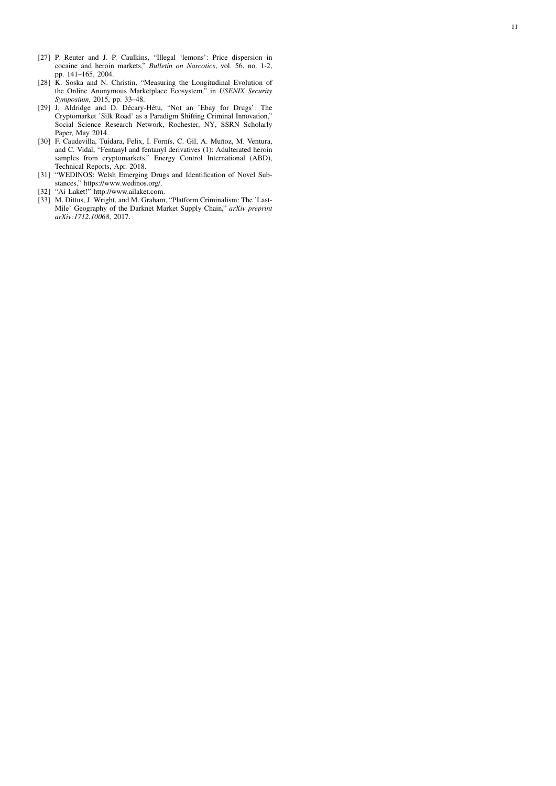- <span id="page-10-0"></span>[27] P. Reuter and J. P. Caulkins, "Illegal 'lemons': Price dispersion in cocaine and heroin markets," *Bulletin on Narcotics*, vol. 56, no. 1-2, pp. 141–165, 2004.
- <span id="page-10-1"></span>[28] K. Soska and N. Christin, "Measuring the Longitudinal Evolution of the Online Anonymous Marketplace Ecosystem." in *USENIX Security Symposium*, 2015, pp. 33–48.
- <span id="page-10-2"></span>[29] J. Aldridge and D. Décary-Hétu, "Not an 'Ebay for Drugs': The Cryptomarket 'Silk Road' as a Paradigm Shifting Criminal Innovation," Social Science Research Network, Rochester, NY, SSRN Scholarly Paper, May 2014.
- <span id="page-10-3"></span>[30] F. Caudevilla, Tuidara, Felix, I. Fornís, C. Gil, A. Muñoz, M. Ventura, and C. Vidal, "Fentanyl and fentanyl derivatives (1): Adulterated heroin samples from cryptomarkets," Energy Control International (ABD), Technical Reports, Apr. 2018.
- <span id="page-10-4"></span>[31] "WEDINOS: Welsh Emerging Drugs and Identification of Novel Substances," https://www.wedinos.org/.
- <span id="page-10-5"></span>[32] "Ai Laket!" http://www.ailaket.com.
- <span id="page-10-6"></span>[33] M. Dittus, J. Wright, and M. Graham, "Platform Criminalism: The 'Last-Mile' Geography of the Darknet Market Supply Chain," *arXiv preprint arXiv:1712.10068*, 2017.